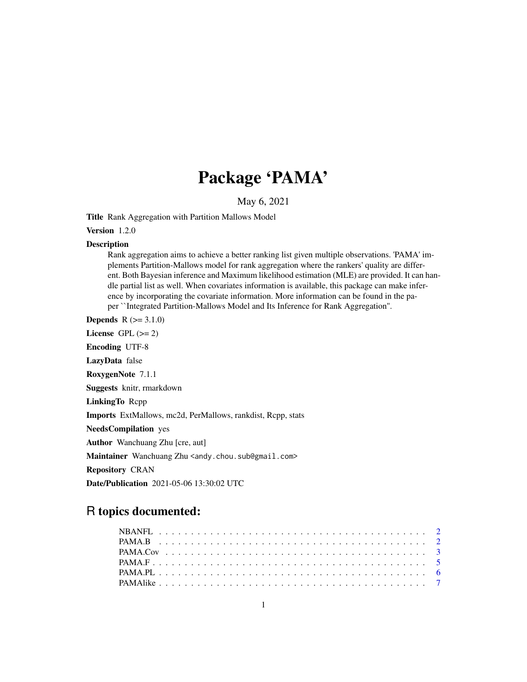# Package 'PAMA'

May 6, 2021

Title Rank Aggregation with Partition Mallows Model

Version 1.2.0

#### Description

Rank aggregation aims to achieve a better ranking list given multiple observations. 'PAMA' implements Partition-Mallows model for rank aggregation where the rankers' quality are different. Both Bayesian inference and Maximum likelihood estimation (MLE) are provided. It can handle partial list as well. When covariates information is available, this package can make inference by incorporating the covariate information. More information can be found in the paper ``Integrated Partition-Mallows Model and Its Inference for Rank Aggregation''.

**Depends**  $R (= 3.1.0)$ 

License GPL  $(>= 2)$ 

Encoding UTF-8

LazyData false

RoxygenNote 7.1.1

Suggests knitr, rmarkdown

LinkingTo Rcpp

Imports ExtMallows, mc2d, PerMallows, rankdist, Rcpp, stats

NeedsCompilation yes

Author Wanchuang Zhu [cre, aut]

Maintainer Wanchuang Zhu <andy.chou.sub@gmail.com>

Repository CRAN

Date/Publication 2021-05-06 13:30:02 UTC

# R topics documented: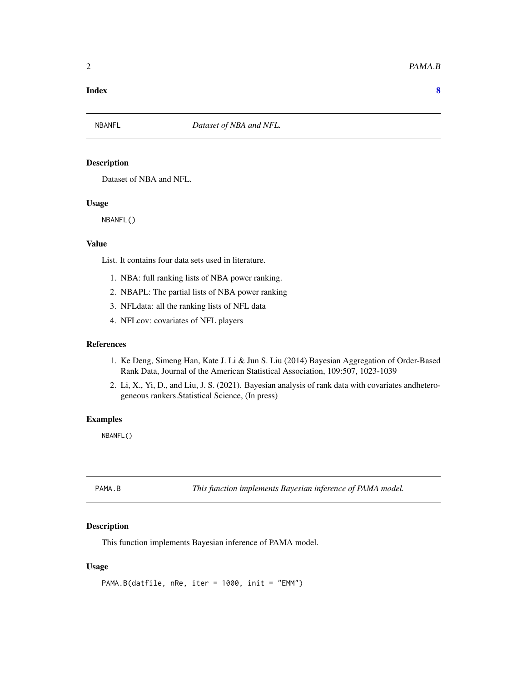#### <span id="page-1-0"></span>**Index** [8](#page-7-0) **8**

#### Description

Dataset of NBA and NFL.

#### Usage

NBANFL()

#### Value

List. It contains four data sets used in literature.

- 1. NBA: full ranking lists of NBA power ranking.
- 2. NBAPL: The partial lists of NBA power ranking
- 3. NFLdata: all the ranking lists of NFL data
- 4. NFLcov: covariates of NFL players

#### References

- 1. Ke Deng, Simeng Han, Kate J. Li & Jun S. Liu (2014) Bayesian Aggregation of Order-Based Rank Data, Journal of the American Statistical Association, 109:507, 1023-1039
- 2. Li, X., Yi, D., and Liu, J. S. (2021). Bayesian analysis of rank data with covariates andheterogeneous rankers.Statistical Science, (In press)

#### Examples

NBANFL()

PAMA.B *This function implements Bayesian inference of PAMA model.*

#### Description

This function implements Bayesian inference of PAMA model.

#### Usage

```
PAMA.B(datfile, nRe, iter = 1000, init = "EMM")
```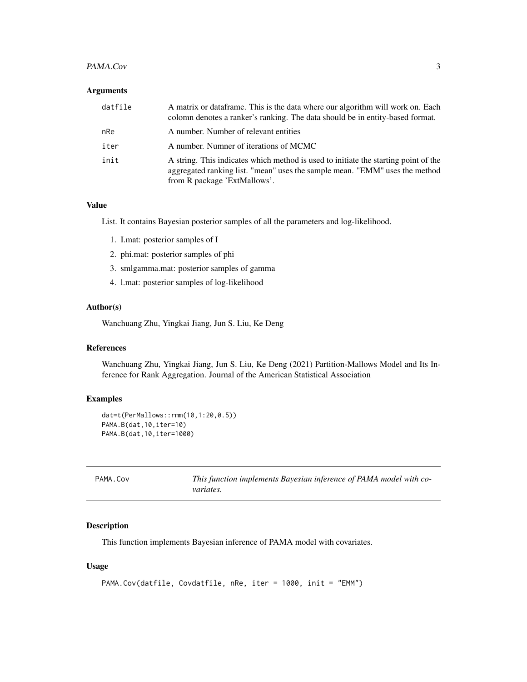#### <span id="page-2-0"></span>PAMA.Cov 3

#### Arguments

| datfile | A matrix or data frame. This is the data where our algorithm will work on. Each<br>colomn denotes a ranker's ranking. The data should be in entity-based format.                                   |
|---------|----------------------------------------------------------------------------------------------------------------------------------------------------------------------------------------------------|
| nRe     | A number. Number of relevant entities                                                                                                                                                              |
| iter    | A number. Numner of iterations of MCMC                                                                                                                                                             |
| init    | A string. This indicates which method is used to initiate the starting point of the<br>aggregated ranking list. "mean" uses the sample mean. "EMM" uses the method<br>from R package 'ExtMallows'. |

#### Value

List. It contains Bayesian posterior samples of all the parameters and log-likelihood.

- 1. I.mat: posterior samples of I
- 2. phi.mat: posterior samples of phi
- 3. smlgamma.mat: posterior samples of gamma
- 4. l.mat: posterior samples of log-likelihood

#### Author(s)

Wanchuang Zhu, Yingkai Jiang, Jun S. Liu, Ke Deng

#### References

Wanchuang Zhu, Yingkai Jiang, Jun S. Liu, Ke Deng (2021) Partition-Mallows Model and Its Inference for Rank Aggregation. Journal of the American Statistical Association

#### Examples

```
dat=t(PerMallows::rmm(10,1:20,0.5))
PAMA.B(dat,10,iter=10)
PAMA.B(dat,10,iter=1000)
```

| PAMA, Cov | This function implements Bayesian inference of PAMA model with co- |
|-----------|--------------------------------------------------------------------|
|           | <i>variates.</i>                                                   |

#### Description

This function implements Bayesian inference of PAMA model with covariates.

#### Usage

```
PAMA.Cov(datfile, Covdatfile, nRe, iter = 1000, init = "EMM")
```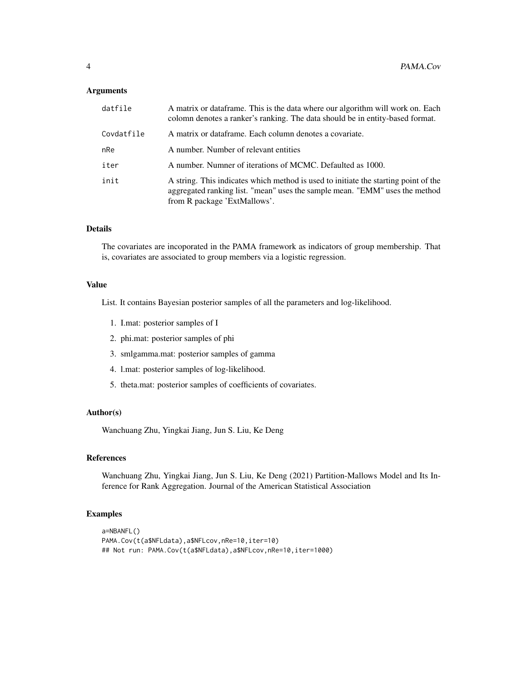#### Arguments

| datfile    | A matrix or data frame. This is the data where our algorithm will work on. Each<br>colomn denotes a ranker's ranking. The data should be in entity-based format.                                   |
|------------|----------------------------------------------------------------------------------------------------------------------------------------------------------------------------------------------------|
| Covdatfile | A matrix or dataframe. Each column denotes a covariate.                                                                                                                                            |
| nRe        | A number. Number of relevant entities                                                                                                                                                              |
| iter       | A number. Numner of iterations of MCMC. Defaulted as 1000.                                                                                                                                         |
| init       | A string. This indicates which method is used to initiate the starting point of the<br>aggregated ranking list. "mean" uses the sample mean. "EMM" uses the method<br>from R package 'ExtMallows'. |

#### Details

The covariates are incoporated in the PAMA framework as indicators of group membership. That is, covariates are associated to group members via a logistic regression.

#### Value

List. It contains Bayesian posterior samples of all the parameters and log-likelihood.

- 1. I.mat: posterior samples of I
- 2. phi.mat: posterior samples of phi
- 3. smlgamma.mat: posterior samples of gamma
- 4. l.mat: posterior samples of log-likelihood.
- 5. theta.mat: posterior samples of coefficients of covariates.

#### Author(s)

Wanchuang Zhu, Yingkai Jiang, Jun S. Liu, Ke Deng

#### References

Wanchuang Zhu, Yingkai Jiang, Jun S. Liu, Ke Deng (2021) Partition-Mallows Model and Its Inference for Rank Aggregation. Journal of the American Statistical Association

#### Examples

```
a=NBANFL()
PAMA.Cov(t(a$NFLdata),a$NFLcov,nRe=10,iter=10)
## Not run: PAMA.Cov(t(a$NFLdata),a$NFLcov,nRe=10,iter=1000)
```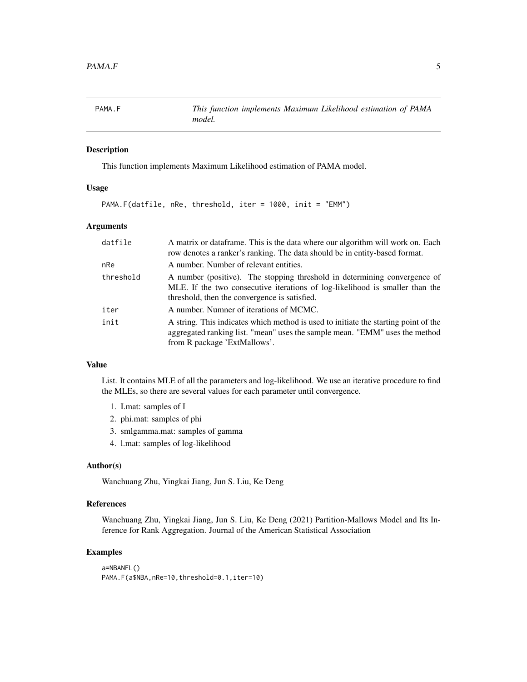<span id="page-4-0"></span>

#### Description

This function implements Maximum Likelihood estimation of PAMA model.

#### Usage

PAMA.F(datfile, nRe, threshold, iter = 1000, init = "EMM")

#### Arguments

| datfile   | A matrix or data frame. This is the data where our algorithm will work on. Each<br>row denotes a ranker's ranking. The data should be in entity-based format.                                              |
|-----------|------------------------------------------------------------------------------------------------------------------------------------------------------------------------------------------------------------|
| nRe       | A number. Number of relevant entities.                                                                                                                                                                     |
| threshold | A number (positive). The stopping threshold in determining convergence of<br>MLE. If the two consecutive iterations of log-likelihood is smaller than the<br>threshold, then the convergence is satisfied. |
| iter      | A number. Numner of iterations of MCMC.                                                                                                                                                                    |
| init      | A string. This indicates which method is used to initiate the starting point of the<br>aggregated ranking list. "mean" uses the sample mean. "EMM" uses the method<br>from R package 'ExtMallows'.         |

### Value

List. It contains MLE of all the parameters and log-likelihood. We use an iterative procedure to find the MLEs, so there are several values for each parameter until convergence.

- 1. I.mat: samples of I
- 2. phi.mat: samples of phi
- 3. smlgamma.mat: samples of gamma
- 4. l.mat: samples of log-likelihood

#### Author(s)

Wanchuang Zhu, Yingkai Jiang, Jun S. Liu, Ke Deng

#### References

Wanchuang Zhu, Yingkai Jiang, Jun S. Liu, Ke Deng (2021) Partition-Mallows Model and Its Inference for Rank Aggregation. Journal of the American Statistical Association

#### Examples

```
a=NBANFL()
PAMA.F(a$NBA,nRe=10,threshold=0.1,iter=10)
```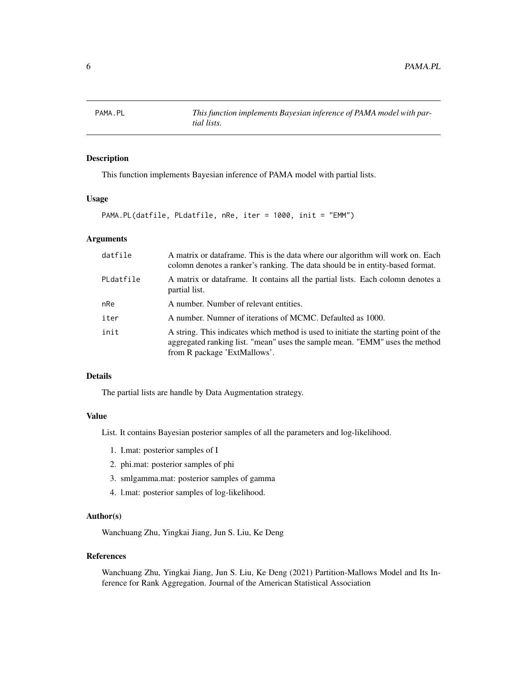<span id="page-5-0"></span>

#### Description

This function implements Bayesian inference of PAMA model with partial lists.

#### Usage

PAMA.PL(datfile, PLdatfile, nRe, iter = 1000, init = "EMM")

#### Arguments

| datfile   | A matrix or data frame. This is the data where our algorithm will work on. Each<br>colomn denotes a ranker's ranking. The data should be in entity-based format.                                   |
|-----------|----------------------------------------------------------------------------------------------------------------------------------------------------------------------------------------------------|
| PLdatfile | A matrix or data frame. It contains all the partial lists. Each colomn denotes a<br>partial list.                                                                                                  |
| nRe       | A number. Number of relevant entities.                                                                                                                                                             |
| iter      | A number. Numner of iterations of MCMC. Defaulted as 1000.                                                                                                                                         |
| init      | A string. This indicates which method is used to initiate the starting point of the<br>aggregated ranking list. "mean" uses the sample mean. "EMM" uses the method<br>from R package 'ExtMallows'. |

#### Details

The partial lists are handle by Data Augmentation strategy.

#### Value

List. It contains Bayesian posterior samples of all the parameters and log-likelihood.

- 1. I.mat: posterior samples of I
- 2. phi.mat: posterior samples of phi
- 3. smlgamma.mat: posterior samples of gamma
- 4. l.mat: posterior samples of log-likelihood.

#### Author(s)

Wanchuang Zhu, Yingkai Jiang, Jun S. Liu, Ke Deng

#### References

Wanchuang Zhu, Yingkai Jiang, Jun S. Liu, Ke Deng (2021) Partition-Mallows Model and Its Inference for Rank Aggregation. Journal of the American Statistical Association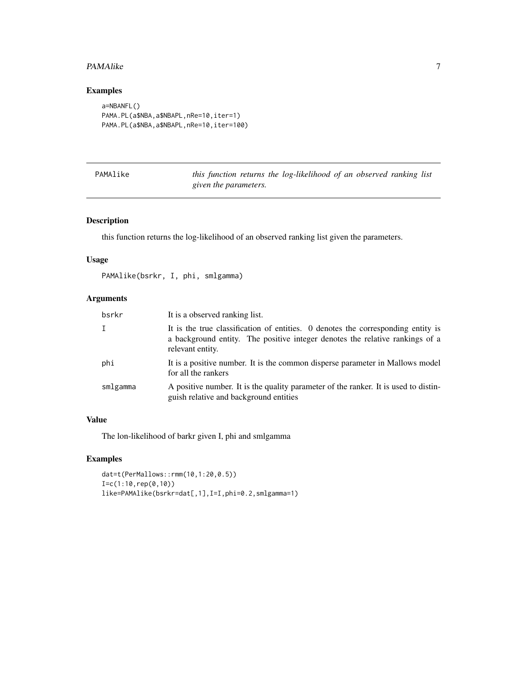#### <span id="page-6-0"></span>PAMAlike 7

#### Examples

```
a=NBANFL()
PAMA.PL(a$NBA,a$NBAPL,nRe=10,iter=1)
PAMA.PL(a$NBA,a$NBAPL,nRe=10,iter=100)
```

| PAMAlike |
|----------|
|----------|

this function returns the log-likelihood of an observed ranking list *given the parameters.*

#### Description

this function returns the log-likelihood of an observed ranking list given the parameters.

#### Usage

PAMAlike(bsrkr, I, phi, smlgamma)

## Arguments

| bsrkr        | It is a observed ranking list.                                                                                                                                                       |
|--------------|--------------------------------------------------------------------------------------------------------------------------------------------------------------------------------------|
| $\mathbf{I}$ | It is the true classification of entities. O denotes the corresponding entity is<br>a background entity. The positive integer denotes the relative rankings of a<br>relevant entity. |
| phi          | It is a positive number. It is the common disperse parameter in Mallows model<br>for all the rankers                                                                                 |
| smlgamma     | A positive number. It is the quality parameter of the ranker. It is used to distin-<br>guish relative and background entities                                                        |

#### Value

The lon-likelihood of barkr given I, phi and smlgamma

#### Examples

dat=t(PerMallows::rmm(10,1:20,0.5)) I=c(1:10,rep(0,10)) like=PAMAlike(bsrkr=dat[,1],I=I,phi=0.2,smlgamma=1)